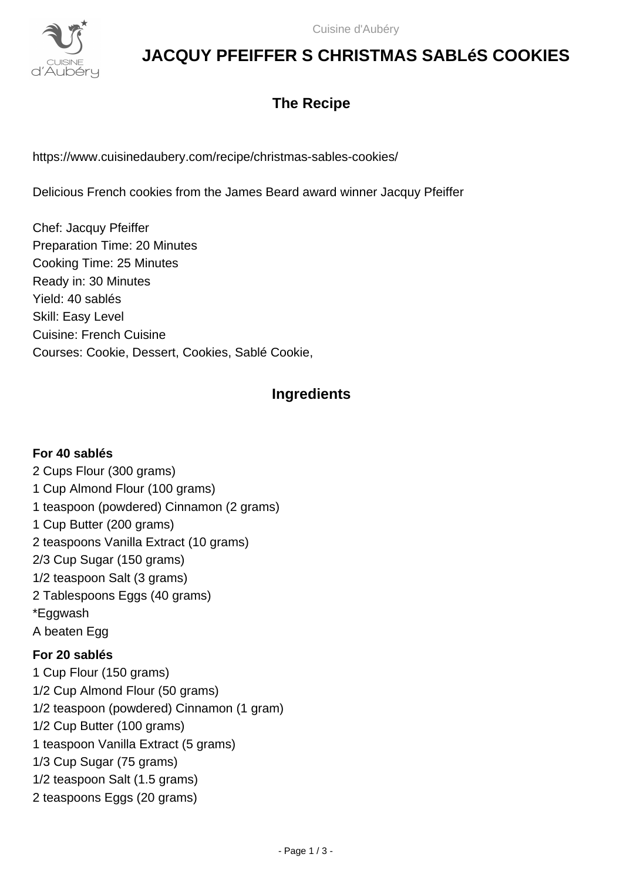

# **JACQUY PFEIFFER S CHRISTMAS SABLéS COOKIES**

## **The Recipe**

https://www.cuisinedaubery.com/recipe/christmas-sables-cookies/

Delicious French cookies from the James Beard award winner Jacquy Pfeiffer

Chef: Jacquy Pfeiffer Preparation Time: 20 Minutes Cooking Time: 25 Minutes Ready in: 30 Minutes Yield: 40 sablés Skill: Easy Level Cuisine: French Cuisine Courses: Cookie, Dessert, Cookies, Sablé Cookie,

## **Ingredients**

### **For 40 sablés**

2 Cups Flour (300 grams) 1 Cup Almond Flour (100 grams) 1 teaspoon (powdered) Cinnamon (2 grams) 1 Cup Butter (200 grams) 2 teaspoons Vanilla Extract (10 grams) 2/3 Cup Sugar (150 grams) 1/2 teaspoon Salt (3 grams) 2 Tablespoons Eggs (40 grams) \*Eggwash A beaten Egg **For 20 sablés** 1 Cup Flour (150 grams) 1/2 Cup Almond Flour (50 grams) 1/2 teaspoon (powdered) Cinnamon (1 gram) 1/2 Cup Butter (100 grams) 1 teaspoon Vanilla Extract (5 grams) 1/3 Cup Sugar (75 grams) 1/2 teaspoon Salt (1.5 grams) 2 teaspoons Eggs (20 grams)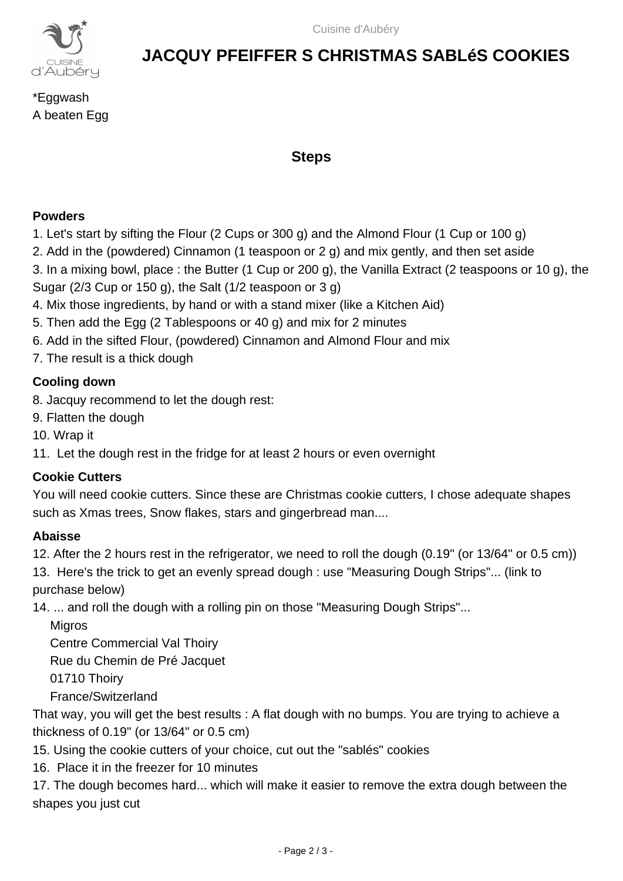

# **JACQUY PFEIFFER S CHRISTMAS SABLéS COOKIES**

\*Eggwash A beaten Egg

### **Steps**

#### **Powders**

- 1. Let's start by sifting the Flour (2 Cups or 300 g) and the Almond Flour (1 Cup or 100 g)
- 2. Add in the (powdered) Cinnamon (1 teaspoon or 2 g) and mix gently, and then set aside
- 3. In a mixing bowl, place : the Butter (1 Cup or 200 g), the Vanilla Extract (2 teaspoons or 10 g), the
- Sugar (2/3 Cup or 150 g), the Salt (1/2 teaspoon or 3 g)
- 4. Mix those ingredients, by hand or with a stand mixer (like a Kitchen Aid)
- 5. Then add the Egg (2 Tablespoons or 40 g) and mix for 2 minutes
- 6. Add in the sifted Flour, (powdered) Cinnamon and Almond Flour and mix
- 7. The result is a thick dough

### **Cooling down**

- 8. Jacquy recommend to let the dough rest:
- 9. Flatten the dough
- 10. Wrap it
- 11. Let the dough rest in the fridge for at least 2 hours or even overnight

### **Cookie Cutters**

You will need cookie cutters. Since these are Christmas cookie cutters, I chose adequate shapes such as Xmas trees, Snow flakes, stars and gingerbread man....

### **Abaisse**

12. After the 2 hours rest in the refrigerator, we need to roll the dough (0.19" (or 13/64" or 0.5 cm))

13. Here's the trick to get an evenly spread dough : use "Measuring Dough Strips"... (link to purchase below)

14. ... and roll the dough with a rolling pin on those "Measuring Dough Strips"...

**Migros**  Centre Commercial Val Thoiry Rue du Chemin de Pré Jacquet

01710 Thoiry

France/Switzerland

That way, you will get the best results : A flat dough with no bumps. You are trying to achieve a thickness of 0.19" (or 13/64" or 0.5 cm)

15. Using the cookie cutters of your choice, cut out the "sablés" cookies

16. Place it in the freezer for 10 minutes

17. The dough becomes hard... which will make it easier to remove the extra dough between the shapes you just cut